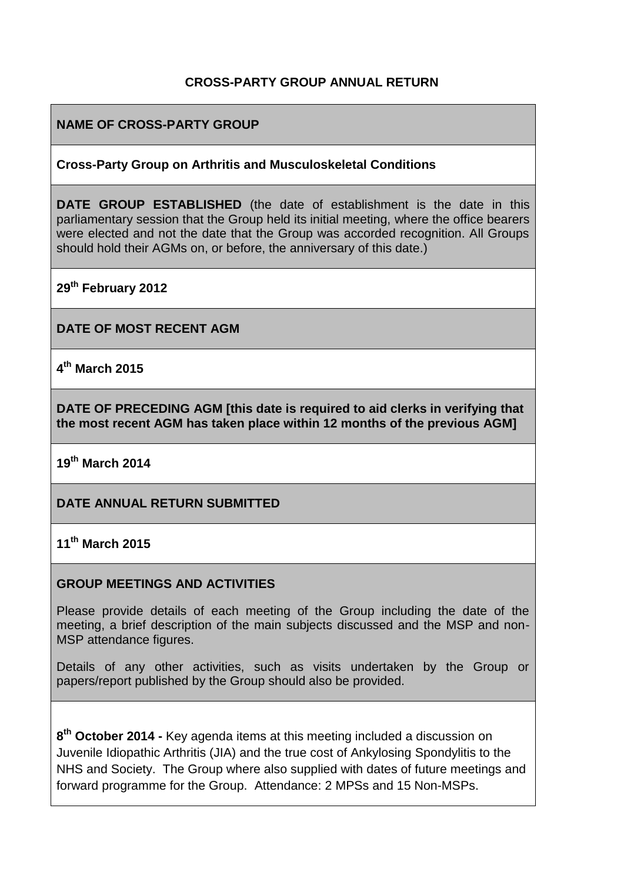## **CROSS-PARTY GROUP ANNUAL RETURN**

## **NAME OF CROSS-PARTY GROUP**

#### **Cross-Party Group on Arthritis and Musculoskeletal Conditions**

**DATE GROUP ESTABLISHED** (the date of establishment is the date in this parliamentary session that the Group held its initial meeting, where the office bearers were elected and not the date that the Group was accorded recognition. All Groups should hold their AGMs on, or before, the anniversary of this date.)

**29th February 2012**

**DATE OF MOST RECENT AGM**

**4 th March 2015**

**DATE OF PRECEDING AGM [this date is required to aid clerks in verifying that the most recent AGM has taken place within 12 months of the previous AGM]**

**19th March 2014**

### **DATE ANNUAL RETURN SUBMITTED**

### **11th March 2015**

#### **GROUP MEETINGS AND ACTIVITIES**

Please provide details of each meeting of the Group including the date of the meeting, a brief description of the main subjects discussed and the MSP and non-MSP attendance figures.

Details of any other activities, such as visits undertaken by the Group or papers/report published by the Group should also be provided.

**8 th October 2014 -** Key agenda items at this meeting included a discussion on Juvenile Idiopathic Arthritis (JIA) and the true cost of Ankylosing Spondylitis to the NHS and Society. The Group where also supplied with dates of future meetings and forward programme for the Group. Attendance: 2 MPSs and 15 Non-MSPs.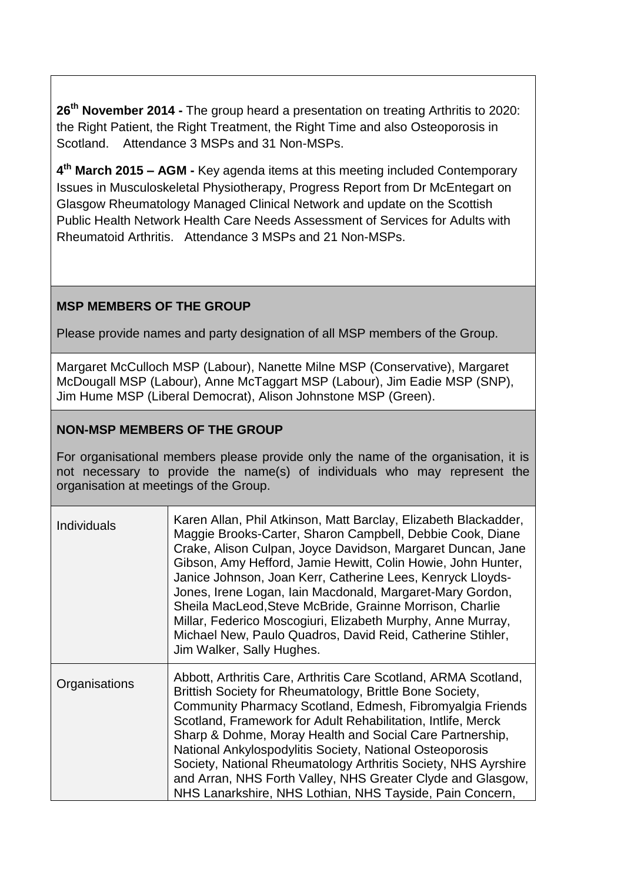**26th November 2014 -** The group heard a presentation on treating Arthritis to 2020: the Right Patient, the Right Treatment, the Right Time and also Osteoporosis in Scotland. Attendance 3 MSPs and 31 Non-MSPs.

**4 th March 2015 – AGM -** Key agenda items at this meeting included Contemporary Issues in Musculoskeletal Physiotherapy, Progress Report from Dr McEntegart on Glasgow Rheumatology Managed Clinical Network and update on the Scottish Public Health Network Health Care Needs Assessment of Services for Adults with Rheumatoid Arthritis. Attendance 3 MSPs and 21 Non-MSPs.

# **MSP MEMBERS OF THE GROUP**

Please provide names and party designation of all MSP members of the Group.

Margaret McCulloch MSP (Labour), Nanette Milne MSP (Conservative), Margaret McDougall MSP (Labour), Anne McTaggart MSP (Labour), Jim Eadie MSP (SNP), Jim Hume MSP (Liberal Democrat), Alison Johnstone MSP (Green).

## **NON-MSP MEMBERS OF THE GROUP**

For organisational members please provide only the name of the organisation, it is not necessary to provide the name(s) of individuals who may represent the organisation at meetings of the Group.

| <b>Individuals</b> | Karen Allan, Phil Atkinson, Matt Barclay, Elizabeth Blackadder,<br>Maggie Brooks-Carter, Sharon Campbell, Debbie Cook, Diane<br>Crake, Alison Culpan, Joyce Davidson, Margaret Duncan, Jane<br>Gibson, Amy Hefford, Jamie Hewitt, Colin Howie, John Hunter,<br>Janice Johnson, Joan Kerr, Catherine Lees, Kenryck Lloyds-<br>Jones, Irene Logan, Iain Macdonald, Margaret-Mary Gordon,<br>Sheila MacLeod, Steve McBride, Grainne Morrison, Charlie<br>Millar, Federico Moscogiuri, Elizabeth Murphy, Anne Murray,<br>Michael New, Paulo Quadros, David Reid, Catherine Stihler,<br>Jim Walker, Sally Hughes. |
|--------------------|--------------------------------------------------------------------------------------------------------------------------------------------------------------------------------------------------------------------------------------------------------------------------------------------------------------------------------------------------------------------------------------------------------------------------------------------------------------------------------------------------------------------------------------------------------------------------------------------------------------|
| Organisations      | Abbott, Arthritis Care, Arthritis Care Scotland, ARMA Scotland,<br>Brittish Society for Rheumatology, Brittle Bone Society,<br>Community Pharmacy Scotland, Edmesh, Fibromyalgia Friends<br>Scotland, Framework for Adult Rehabilitation, Intlife, Merck<br>Sharp & Dohme, Moray Health and Social Care Partnership,<br>National Ankylospodylitis Society, National Osteoporosis<br>Society, National Rheumatology Arthritis Society, NHS Ayrshire<br>and Arran, NHS Forth Valley, NHS Greater Clyde and Glasgow,<br>NHS Lanarkshire, NHS Lothian, NHS Tayside, Pain Concern,                                |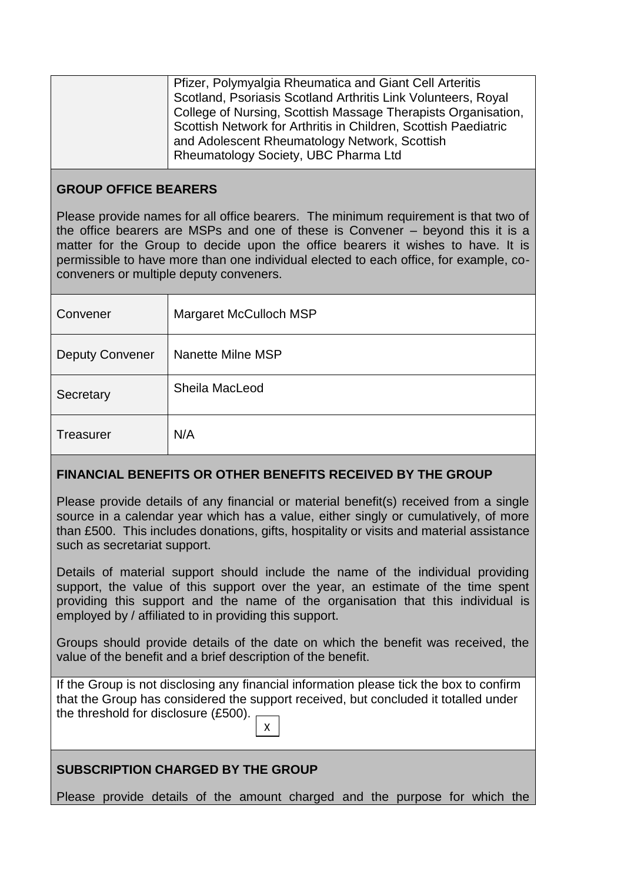| Pfizer, Polymyalgia Rheumatica and Giant Cell Arteritis         |
|-----------------------------------------------------------------|
| Scotland, Psoriasis Scotland Arthritis Link Volunteers, Royal   |
| College of Nursing, Scottish Massage Therapists Organisation,   |
| Scottish Network for Arthritis in Children, Scottish Paediatric |
| and Adolescent Rheumatology Network, Scottish                   |
| Rheumatology Society, UBC Pharma Ltd                            |
|                                                                 |

## **GROUP OFFICE BEARERS**

Please provide names for all office bearers. The minimum requirement is that two of the office bearers are MSPs and one of these is Convener – beyond this it is a matter for the Group to decide upon the office bearers it wishes to have. It is permissible to have more than one individual elected to each office, for example, coconveners or multiple deputy conveners.

| Convener               | Margaret McCulloch MSP |
|------------------------|------------------------|
| <b>Deputy Convener</b> | Nanette Milne MSP      |
| Secretary              | Sheila MacLeod         |
| <b>Treasurer</b>       | N/A                    |

## **FINANCIAL BENEFITS OR OTHER BENEFITS RECEIVED BY THE GROUP**

Please provide details of any financial or material benefit(s) received from a single source in a calendar year which has a value, either singly or cumulatively, of more than £500. This includes donations, gifts, hospitality or visits and material assistance such as secretariat support.

Details of material support should include the name of the individual providing support, the value of this support over the year, an estimate of the time spent providing this support and the name of the organisation that this individual is employed by / affiliated to in providing this support.

Groups should provide details of the date on which the benefit was received, the value of the benefit and a brief description of the benefit.

If the Group is not disclosing any financial information please tick the box to confirm that the Group has considered the support received, but concluded it totalled under the threshold for disclosure (£500). X

# **SUBSCRIPTION CHARGED BY THE GROUP**

Please provide details of the amount charged and the purpose for which the